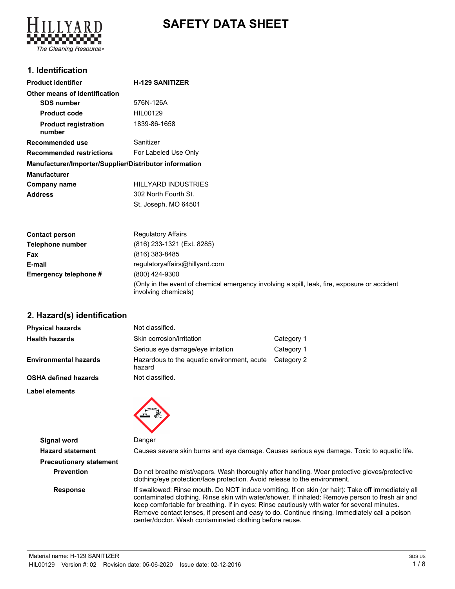# **SAFETY DATA SHEET**



# **1. Identification**

| <b>Product identifier</b>                              | <b>H-129 SANITIZER</b> |
|--------------------------------------------------------|------------------------|
| Other means of identification                          |                        |
| <b>SDS number</b>                                      | 576N-126A              |
| <b>Product code</b>                                    | HIL00129               |
| <b>Product registration</b><br>number                  | 1839-86-1658           |
| Recommended use                                        | Sanitizer              |
| <b>Recommended restrictions</b>                        | For Labeled Use Only   |
| Manufacturer/Importer/Supplier/Distributor information |                        |
| <b>Manufacturer</b>                                    |                        |
| Company name                                           | HILLYARD INDUSTRIES    |
| <b>Address</b>                                         | 302 North Fourth St.   |
|                                                        | St. Joseph, MO 64501   |

| <b>Contact person</b> | <b>Regulatory Affairs</b>                                                                                            |  |
|-----------------------|----------------------------------------------------------------------------------------------------------------------|--|
| Telephone number      | (816) 233-1321 (Ext. 8285)                                                                                           |  |
| Fax                   | (816) 383-8485                                                                                                       |  |
| E-mail                | regulatoryaffairs@hillyard.com                                                                                       |  |
| Emergency telephone # | (800) 424-9300                                                                                                       |  |
|                       | (Only in the event of chemical emergency involving a spill, leak, fire, exposure or accident<br>involving chemicals) |  |

### **2. Hazard(s) identification**

| <b>Physical hazards</b>      | Not classified.                                       |            |
|------------------------------|-------------------------------------------------------|------------|
| <b>Health hazards</b>        | Skin corrosion/irritation                             | Category 1 |
|                              | Serious eye damage/eye irritation                     | Category 1 |
| <b>Environmental hazards</b> | Hazardous to the aquatic environment, acute<br>hazard | Category 2 |
| <b>OSHA defined hazards</b>  | Not classified.                                       |            |

**Label elements**



**Signal word** Danger

**Hazard statement** Causes severe skin burns and eye damage. Causes serious eye damage. Toxic to aquatic life.

**Precautionary statement**

**Prevention** Do not breathe mist/vapors. Wash thoroughly after handling. Wear protective gloves/protective clothing/eye protection/face protection. Avoid release to the environment.

**Response** If swallowed: Rinse mouth. Do NOT induce vomiting. If on skin (or hair): Take off immediately all contaminated clothing. Rinse skin with water/shower. If inhaled: Remove person to fresh air and keep comfortable for breathing. If in eyes: Rinse cautiously with water for several minutes. Remove contact lenses, if present and easy to do. Continue rinsing. Immediately call a poison center/doctor. Wash contaminated clothing before reuse.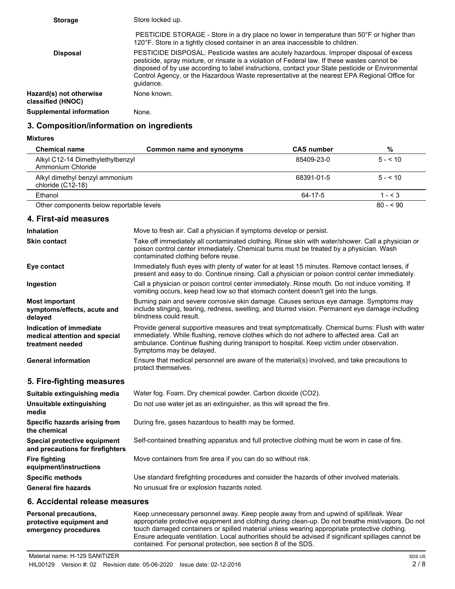| <b>Storage</b>                               | Store locked up.                                                                                                                                                                                                                                                                                                                                                                                           |
|----------------------------------------------|------------------------------------------------------------------------------------------------------------------------------------------------------------------------------------------------------------------------------------------------------------------------------------------------------------------------------------------------------------------------------------------------------------|
|                                              | PESTICIDE STORAGE - Store in a dry place no lower in temperature than 50°F or higher than<br>120°F. Store in a tightly closed container in an area inaccessible to children.                                                                                                                                                                                                                               |
| <b>Disposal</b>                              | PESTICIDE DISPOSAL: Pesticide wastes are acutely hazardous. Improper disposal of excess<br>pesticide, spray mixture, or rinsate is a violation of Federal law. If these wastes cannot be<br>disposed of by use according to label instructions, contact your State pesticide or Environmental<br>Control Agency, or the Hazardous Waste representative at the nearest EPA Regional Office for<br>quidance. |
| Hazard(s) not otherwise<br>classified (HNOC) | None known.                                                                                                                                                                                                                                                                                                                                                                                                |
| <b>Supplemental information</b>              | None.                                                                                                                                                                                                                                                                                                                                                                                                      |

### **3. Composition/information on ingredients**

#### **Mixtures**

| <b>Chemical name</b>                                  | Common name and synonyms | <b>CAS</b> number | %            |
|-------------------------------------------------------|--------------------------|-------------------|--------------|
| Alkyl C12-14 Dimethylethylbenzyl<br>Ammonium Chloride |                          | 85409-23-0        | $5 - 510$    |
| Alkyl dimethyl benzyl ammonium<br>chloride (C12-18)   |                          | 68391-01-5        | $5 - 5 = 10$ |
| Ethanol                                               |                          | 64-17-5           | 1 - $\leq$ 3 |
| Other components below reportable levels              |                          |                   | $80 - 590$   |

## **4. First-aid measures**

| <b>Inhalation</b>                                                            | Move to fresh air. Call a physician if symptoms develop or persist.                                                                                                                                                                                                                                                   |  |
|------------------------------------------------------------------------------|-----------------------------------------------------------------------------------------------------------------------------------------------------------------------------------------------------------------------------------------------------------------------------------------------------------------------|--|
| <b>Skin contact</b>                                                          | Take off immediately all contaminated clothing. Rinse skin with water/shower. Call a physician or<br>poison control center immediately. Chemical burns must be treated by a physician. Wash<br>contaminated clothing before reuse.                                                                                    |  |
| Eye contact                                                                  | Immediately flush eyes with plenty of water for at least 15 minutes. Remove contact lenses, if<br>present and easy to do. Continue rinsing. Call a physician or poison control center immediately.                                                                                                                    |  |
| Ingestion                                                                    | Call a physician or poison control center immediately. Rinse mouth. Do not induce vomiting. If<br>vomiting occurs, keep head low so that stomach content doesn't get into the lungs.                                                                                                                                  |  |
| <b>Most important</b><br>symptoms/effects, acute and<br>delayed              | Burning pain and severe corrosive skin damage. Causes serious eye damage. Symptoms may<br>include stinging, tearing, redness, swelling, and blurred vision. Permanent eye damage including<br>blindness could result.                                                                                                 |  |
| Indication of immediate<br>medical attention and special<br>treatment needed | Provide general supportive measures and treat symptomatically. Chemical burns: Flush with water<br>immediately. While flushing, remove clothes which do not adhere to affected area. Call an<br>ambulance. Continue flushing during transport to hospital. Keep victim under observation.<br>Symptoms may be delayed. |  |
| <b>General information</b>                                                   | Ensure that medical personnel are aware of the material(s) involved, and take precautions to<br>protect themselves.                                                                                                                                                                                                   |  |
| 5. Fire-fighting measures                                                    |                                                                                                                                                                                                                                                                                                                       |  |
| Suitable extinguishing media                                                 | Water fog. Foam. Dry chemical powder. Carbon dioxide (CO2).                                                                                                                                                                                                                                                           |  |
| Unsuitable extinguishing<br>media                                            | Do not use water jet as an extinguisher, as this will spread the fire.                                                                                                                                                                                                                                                |  |
| Specific hazards arising from<br>the chemical                                | During fire, gases hazardous to health may be formed.                                                                                                                                                                                                                                                                 |  |
| Special protective equipment<br>and precautions for firefighters             | Self-contained breathing apparatus and full protective clothing must be worn in case of fire.                                                                                                                                                                                                                         |  |
| <b>Fire fighting</b><br>equipment/instructions                               | Move containers from fire area if you can do so without risk.                                                                                                                                                                                                                                                         |  |
| <b>Specific methods</b>                                                      | Use standard firefighting procedures and consider the hazards of other involved materials.                                                                                                                                                                                                                            |  |
| <b>General fire hazards</b>                                                  | No unusual fire or explosion hazards noted.                                                                                                                                                                                                                                                                           |  |
|                                                                              |                                                                                                                                                                                                                                                                                                                       |  |

### **6. Accidental release measures**

Keep unnecessary personnel away. Keep people away from and upwind of spill/leak. Wear appropriate protective equipment and clothing during clean-up. Do not breathe mist/vapors. Do not touch damaged containers or spilled material unless wearing appropriate protective clothing. Ensure adequate ventilation. Local authorities should be advised if significant spillages cannot be contained. For personal protection, see section 8 of the SDS. **Personal precautions, protective equipment and emergency procedures**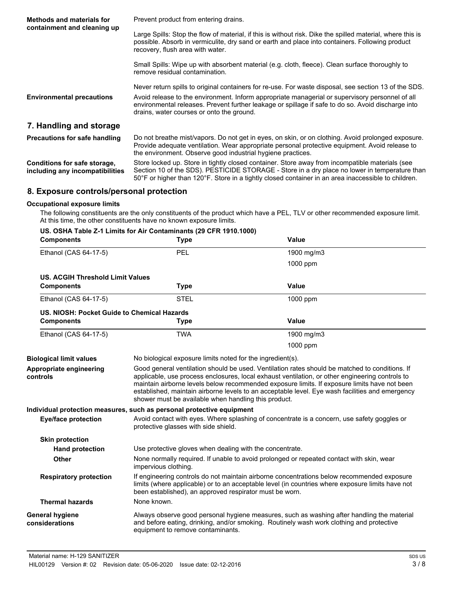| <b>Methods and materials for</b><br>containment and cleaning up | Prevent product from entering drains.                                                                                                                                                                                                                                                                                                                       |  |
|-----------------------------------------------------------------|-------------------------------------------------------------------------------------------------------------------------------------------------------------------------------------------------------------------------------------------------------------------------------------------------------------------------------------------------------------|--|
|                                                                 | Large Spills: Stop the flow of material, if this is without risk. Dike the spilled material, where this is<br>possible. Absorb in vermiculite, dry sand or earth and place into containers. Following product<br>recovery, flush area with water.                                                                                                           |  |
|                                                                 | Small Spills: Wipe up with absorbent material (e.g. cloth, fleece). Clean surface thoroughly to<br>remove residual contamination.                                                                                                                                                                                                                           |  |
| <b>Environmental precautions</b>                                | Never return spills to original containers for re-use. For waste disposal, see section 13 of the SDS.<br>Avoid release to the environment. Inform appropriate managerial or supervisory personnel of all<br>environmental releases. Prevent further leakage or spillage if safe to do so. Avoid discharge into<br>drains, water courses or onto the ground. |  |
| 7. Handling and storage                                         |                                                                                                                                                                                                                                                                                                                                                             |  |
| <b>Precautions for safe handling</b>                            | Do not breathe mist/vapors. Do not get in eyes, on skin, or on clothing. Avoid prolonged exposure.<br>Provide adequate ventilation. Wear appropriate personal protective equipment. Avoid release to<br>the environment. Observe good industrial hygiene practices.                                                                                         |  |
| Conditions for safe storage,<br>including any incompatibilities | Store locked up. Store in tightly closed container. Store away from incompatible materials (see<br>Section 10 of the SDS). PESTICIDE STORAGE - Store in a dry place no lower in temperature than<br>50°F or higher than 120°F. Store in a tightly closed container in an area inaccessible to children.                                                     |  |

## **8. Exposure controls/personal protection**

#### **Occupational exposure limits**

The following constituents are the only constituents of the product which have a PEL, TLV or other recommended exposure limit. At this time, the other constituents have no known exposure limits.

|                                             | US. OSHA Table Z-1 Limits for Air Contaminants (29 CFR 1910.1000)                                                                                                                                                                                         |                                                                                                                                                                                                                                                                                                                                                                                                      |  |  |
|---------------------------------------------|-----------------------------------------------------------------------------------------------------------------------------------------------------------------------------------------------------------------------------------------------------------|------------------------------------------------------------------------------------------------------------------------------------------------------------------------------------------------------------------------------------------------------------------------------------------------------------------------------------------------------------------------------------------------------|--|--|
| <b>Components</b>                           | <b>Type</b>                                                                                                                                                                                                                                               | <b>Value</b>                                                                                                                                                                                                                                                                                                                                                                                         |  |  |
| Ethanol (CAS 64-17-5)                       | PEL                                                                                                                                                                                                                                                       | 1900 mg/m3                                                                                                                                                                                                                                                                                                                                                                                           |  |  |
|                                             |                                                                                                                                                                                                                                                           | 1000 ppm                                                                                                                                                                                                                                                                                                                                                                                             |  |  |
| <b>US. ACGIH Threshold Limit Values</b>     |                                                                                                                                                                                                                                                           |                                                                                                                                                                                                                                                                                                                                                                                                      |  |  |
| <b>Components</b>                           | <b>Type</b>                                                                                                                                                                                                                                               | Value                                                                                                                                                                                                                                                                                                                                                                                                |  |  |
| Ethanol (CAS 64-17-5)                       | <b>STEL</b>                                                                                                                                                                                                                                               | 1000 ppm                                                                                                                                                                                                                                                                                                                                                                                             |  |  |
| US. NIOSH: Pocket Guide to Chemical Hazards |                                                                                                                                                                                                                                                           |                                                                                                                                                                                                                                                                                                                                                                                                      |  |  |
| <b>Components</b>                           | <b>Type</b>                                                                                                                                                                                                                                               | <b>Value</b>                                                                                                                                                                                                                                                                                                                                                                                         |  |  |
| Ethanol (CAS 64-17-5)                       | <b>TWA</b>                                                                                                                                                                                                                                                | 1900 mg/m3                                                                                                                                                                                                                                                                                                                                                                                           |  |  |
|                                             |                                                                                                                                                                                                                                                           | 1000 ppm                                                                                                                                                                                                                                                                                                                                                                                             |  |  |
| <b>Biological limit values</b>              | No biological exposure limits noted for the ingredient(s).                                                                                                                                                                                                |                                                                                                                                                                                                                                                                                                                                                                                                      |  |  |
| Appropriate engineering<br>controls         | shower must be available when handling this product.                                                                                                                                                                                                      | Good general ventilation should be used. Ventilation rates should be matched to conditions. If<br>applicable, use process enclosures, local exhaust ventilation, or other engineering controls to<br>maintain airborne levels below recommended exposure limits. If exposure limits have not been<br>established, maintain airborne levels to an acceptable level. Eye wash facilities and emergency |  |  |
|                                             | Individual protection measures, such as personal protective equipment                                                                                                                                                                                     |                                                                                                                                                                                                                                                                                                                                                                                                      |  |  |
| <b>Eye/face protection</b>                  | Avoid contact with eyes. Where splashing of concentrate is a concern, use safety goggles or<br>protective glasses with side shield.                                                                                                                       |                                                                                                                                                                                                                                                                                                                                                                                                      |  |  |
| <b>Skin protection</b>                      |                                                                                                                                                                                                                                                           |                                                                                                                                                                                                                                                                                                                                                                                                      |  |  |
| <b>Hand protection</b>                      |                                                                                                                                                                                                                                                           | Use protective gloves when dealing with the concentrate.                                                                                                                                                                                                                                                                                                                                             |  |  |
| <b>Other</b>                                | None normally required. If unable to avoid prolonged or repeated contact with skin, wear<br>impervious clothing.                                                                                                                                          |                                                                                                                                                                                                                                                                                                                                                                                                      |  |  |
| <b>Respiratory protection</b>               | If engineering controls do not maintain airborne concentrations below recommended exposure<br>limits (where applicable) or to an acceptable level (in countries where exposure limits have not<br>been established), an approved respirator must be worn. |                                                                                                                                                                                                                                                                                                                                                                                                      |  |  |
| <b>Thermal hazards</b>                      | None known.                                                                                                                                                                                                                                               |                                                                                                                                                                                                                                                                                                                                                                                                      |  |  |
| <b>General hygiene</b><br>considerations    | Always observe good personal hygiene measures, such as washing after handling the material<br>and before eating, drinking, and/or smoking. Routinely wash work clothing and protective<br>equipment to remove contaminants.                               |                                                                                                                                                                                                                                                                                                                                                                                                      |  |  |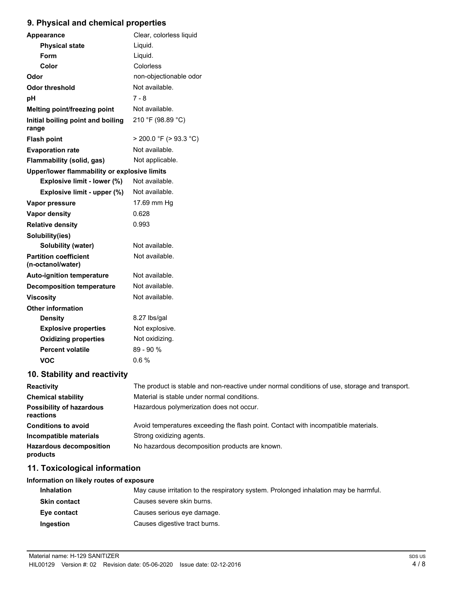# **9. Physical and chemical properties**

| <b>Appearance</b>                                 | Clear, colorless liquid     |  |
|---------------------------------------------------|-----------------------------|--|
| <b>Physical state</b>                             | Liquid.                     |  |
| Form                                              | Liquid.                     |  |
| Color                                             | Colorless                   |  |
| Odor                                              | non-objectionable odor      |  |
| Odor threshold                                    | Not available.              |  |
| рH                                                | 7 - 8                       |  |
| Melting point/freezing point                      | Not available.              |  |
| Initial boiling point and boiling<br>range        | 210 °F (98.89 °C)           |  |
| <b>Flash point</b>                                | $>$ 200.0 °F ( $>$ 93.3 °C) |  |
| <b>Evaporation rate</b>                           | Not available.              |  |
| <b>Flammability (solid, gas)</b>                  | Not applicable.             |  |
| Upper/lower flammability or explosive limits      |                             |  |
| Explosive limit - lower (%)                       | Not available.              |  |
| Explosive limit - upper (%)                       | Not available.              |  |
| Vapor pressure                                    | 17.69 mm Hg                 |  |
| <b>Vapor density</b>                              | 0.628                       |  |
| <b>Relative density</b>                           | 0.993                       |  |
| Solubility(ies)                                   |                             |  |
| Solubility (water)                                | Not available.              |  |
| <b>Partition coefficient</b><br>(n-octanol/water) | Not available.              |  |
| <b>Auto-ignition temperature</b>                  | Not available.              |  |
| <b>Decomposition temperature</b>                  | Not available.              |  |
| <b>Viscosity</b>                                  | Not available.              |  |
| <b>Other information</b>                          |                             |  |
| <b>Density</b>                                    | 8.27 lbs/gal                |  |
| <b>Explosive properties</b>                       | Not explosive.              |  |
| <b>Oxidizing properties</b>                       | Not oxidizing.              |  |
| <b>Percent volatile</b>                           | $89 - 90%$                  |  |
| VOC                                               | 0.6%                        |  |

# **10. Stability and reactivity**

| <b>Reactivity</b>                            | The product is stable and non-reactive under normal conditions of use, storage and transport. |
|----------------------------------------------|-----------------------------------------------------------------------------------------------|
| <b>Chemical stability</b>                    | Material is stable under normal conditions.                                                   |
| <b>Possibility of hazardous</b><br>reactions | Hazardous polymerization does not occur.                                                      |
| <b>Conditions to avoid</b>                   | Avoid temperatures exceeding the flash point. Contact with incompatible materials.            |
| Incompatible materials                       | Strong oxidizing agents.                                                                      |
| <b>Hazardous decomposition</b><br>products   | No hazardous decomposition products are known.                                                |

# **11. Toxicological information**

### **Information on likely routes of exposure**

| <b>Inhalation</b>   | May cause irritation to the respiratory system. Prolonged inhalation may be harmful. |
|---------------------|--------------------------------------------------------------------------------------|
| <b>Skin contact</b> | Causes severe skin burns.                                                            |
| Eye contact         | Causes serious eye damage.                                                           |
| Ingestion           | Causes digestive tract burns.                                                        |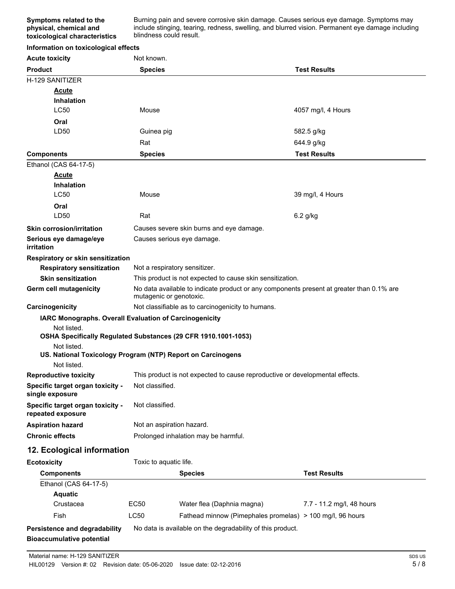Burning pain and severe corrosive skin damage. Causes serious eye damage. Symptoms may include stinging, tearing, redness, swelling, and blurred vision. Permanent eye damage including blindness could result.

### **Information on toxicological effects**

| <b>Acute toxicity</b>                                                         | Not known.                                                                                                          |                                                            |                           |  |  |
|-------------------------------------------------------------------------------|---------------------------------------------------------------------------------------------------------------------|------------------------------------------------------------|---------------------------|--|--|
| <b>Product</b>                                                                | <b>Species</b>                                                                                                      |                                                            | <b>Test Results</b>       |  |  |
| H-129 SANITIZER                                                               |                                                                                                                     |                                                            |                           |  |  |
| <b>Acute</b>                                                                  |                                                                                                                     |                                                            |                           |  |  |
| <b>Inhalation</b>                                                             |                                                                                                                     |                                                            |                           |  |  |
| <b>LC50</b>                                                                   | Mouse                                                                                                               |                                                            | 4057 mg/l, 4 Hours        |  |  |
| Oral                                                                          |                                                                                                                     |                                                            |                           |  |  |
| LD50                                                                          | Guinea pig<br>582.5 g/kg                                                                                            |                                                            |                           |  |  |
|                                                                               | Rat                                                                                                                 |                                                            | 644.9 g/kg                |  |  |
| <b>Components</b>                                                             | <b>Species</b>                                                                                                      |                                                            | <b>Test Results</b>       |  |  |
| Ethanol (CAS 64-17-5)                                                         |                                                                                                                     |                                                            |                           |  |  |
| <b>Acute</b>                                                                  |                                                                                                                     |                                                            |                           |  |  |
| <b>Inhalation</b>                                                             |                                                                                                                     |                                                            |                           |  |  |
| <b>LC50</b>                                                                   | Mouse                                                                                                               |                                                            | 39 mg/l, 4 Hours          |  |  |
| Oral                                                                          |                                                                                                                     |                                                            |                           |  |  |
| LD50                                                                          | Rat                                                                                                                 |                                                            | 6.2 g/kg                  |  |  |
| <b>Skin corrosion/irritation</b>                                              |                                                                                                                     | Causes severe skin burns and eye damage.                   |                           |  |  |
| Serious eye damage/eye<br>irritation                                          |                                                                                                                     | Causes serious eye damage.                                 |                           |  |  |
| Respiratory or skin sensitization                                             |                                                                                                                     |                                                            |                           |  |  |
| <b>Respiratory sensitization</b>                                              |                                                                                                                     | Not a respiratory sensitizer.                              |                           |  |  |
| <b>Skin sensitization</b>                                                     |                                                                                                                     | This product is not expected to cause skin sensitization.  |                           |  |  |
| Germ cell mutagenicity                                                        | No data available to indicate product or any components present at greater than 0.1% are<br>mutagenic or genotoxic. |                                                            |                           |  |  |
| Carcinogenicity                                                               | Not classifiable as to carcinogenicity to humans.                                                                   |                                                            |                           |  |  |
| IARC Monographs. Overall Evaluation of Carcinogenicity                        |                                                                                                                     |                                                            |                           |  |  |
| Not listed.<br>OSHA Specifically Regulated Substances (29 CFR 1910.1001-1053) |                                                                                                                     |                                                            |                           |  |  |
| Not listed.                                                                   |                                                                                                                     |                                                            |                           |  |  |
| US. National Toxicology Program (NTP) Report on Carcinogens                   |                                                                                                                     |                                                            |                           |  |  |
| Not listed.                                                                   |                                                                                                                     |                                                            |                           |  |  |
| <b>Reproductive toxicity</b>                                                  | This product is not expected to cause reproductive or developmental effects.                                        |                                                            |                           |  |  |
| Specific target organ toxicity -<br>single exposure                           | Not classified.                                                                                                     |                                                            |                           |  |  |
| Specific target organ toxicity -<br>repeated exposure                         | Not classified.                                                                                                     |                                                            |                           |  |  |
| <b>Aspiration hazard</b>                                                      | Not an aspiration hazard.                                                                                           |                                                            |                           |  |  |
| <b>Chronic effects</b>                                                        | Prolonged inhalation may be harmful.                                                                                |                                                            |                           |  |  |
| 12. Ecological information                                                    |                                                                                                                     |                                                            |                           |  |  |
| <b>Ecotoxicity</b>                                                            | Toxic to aquatic life.                                                                                              |                                                            |                           |  |  |
| <b>Components</b>                                                             |                                                                                                                     | <b>Species</b>                                             | <b>Test Results</b>       |  |  |
| Ethanol (CAS 64-17-5)                                                         |                                                                                                                     |                                                            |                           |  |  |
| <b>Aquatic</b>                                                                |                                                                                                                     |                                                            |                           |  |  |
| Crustacea                                                                     | EC50                                                                                                                | Water flea (Daphnia magna)                                 | 7.7 - 11.2 mg/l, 48 hours |  |  |
| Fish                                                                          | LC50                                                                                                                | Fathead minnow (Pimephales promelas) > 100 mg/l, 96 hours  |                           |  |  |
| Persistence and degradability                                                 |                                                                                                                     | No data is available on the degradability of this product. |                           |  |  |
| <b>Bioaccumulative potential</b>                                              |                                                                                                                     |                                                            |                           |  |  |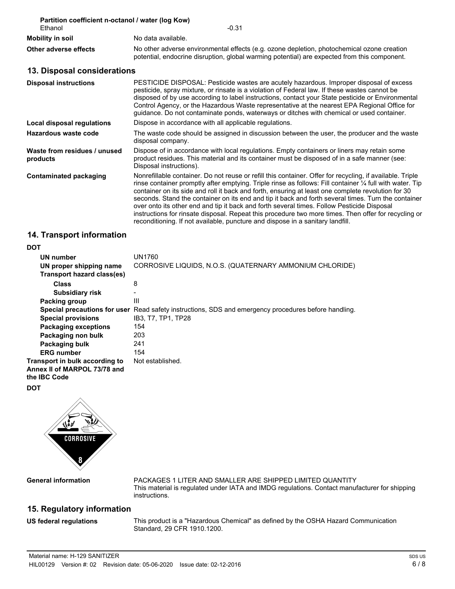| Partition coefficient n-octanol / water (log Kow)<br>$-0.31$                                                                                                                                                                                                                                                                                                                                                                                                                                                                                                                                                                                                                                                                |  |  |  |  |
|-----------------------------------------------------------------------------------------------------------------------------------------------------------------------------------------------------------------------------------------------------------------------------------------------------------------------------------------------------------------------------------------------------------------------------------------------------------------------------------------------------------------------------------------------------------------------------------------------------------------------------------------------------------------------------------------------------------------------------|--|--|--|--|
| No data available.                                                                                                                                                                                                                                                                                                                                                                                                                                                                                                                                                                                                                                                                                                          |  |  |  |  |
| No other adverse environmental effects (e.g. ozone depletion, photochemical ozone creation<br>potential, endocrine disruption, global warming potential) are expected from this component.                                                                                                                                                                                                                                                                                                                                                                                                                                                                                                                                  |  |  |  |  |
| 13. Disposal considerations                                                                                                                                                                                                                                                                                                                                                                                                                                                                                                                                                                                                                                                                                                 |  |  |  |  |
| PESTICIDE DISPOSAL: Pesticide wastes are acutely hazardous. Improper disposal of excess<br>pesticide, spray mixture, or rinsate is a violation of Federal law. If these wastes cannot be<br>disposed of by use according to label instructions, contact your State pesticide or Environmental<br>Control Agency, or the Hazardous Waste representative at the nearest EPA Regional Office for<br>guidance. Do not contaminate ponds, waterways or ditches with chemical or used container.                                                                                                                                                                                                                                  |  |  |  |  |
| Dispose in accordance with all applicable regulations.                                                                                                                                                                                                                                                                                                                                                                                                                                                                                                                                                                                                                                                                      |  |  |  |  |
| The waste code should be assigned in discussion between the user, the producer and the waste<br>disposal company.                                                                                                                                                                                                                                                                                                                                                                                                                                                                                                                                                                                                           |  |  |  |  |
| Dispose of in accordance with local regulations. Empty containers or liners may retain some<br>product residues. This material and its container must be disposed of in a safe manner (see:<br>Disposal instructions).                                                                                                                                                                                                                                                                                                                                                                                                                                                                                                      |  |  |  |  |
| Nonrefillable container. Do not reuse or refill this container. Offer for recycling, if available. Triple<br>rinse container promptly after emptying. Triple rinse as follows: Fill container 1/4 full with water. Tip<br>container on its side and roll it back and forth, ensuring at least one complete revolution for 30<br>seconds. Stand the container on its end and tip it back and forth several times. Turn the container<br>over onto its other end and tip it back and forth several times. Follow Pesticide Disposal<br>instructions for rinsate disposal. Repeat this procedure two more times. Then offer for recycling or<br>reconditioning. If not available, puncture and dispose in a sanitary landfill. |  |  |  |  |
|                                                                                                                                                                                                                                                                                                                                                                                                                                                                                                                                                                                                                                                                                                                             |  |  |  |  |

# **14. Transport information**

### **DOT**

| UN number                                                                             | UN1760                                                                  |
|---------------------------------------------------------------------------------------|-------------------------------------------------------------------------|
| UN proper shipping name                                                               | CORROSIVE LIQUIDS, N.O.S. (QUATERNARY AMMONIUM CHLORIDE)                |
| Transport hazard class(es)                                                            |                                                                         |
| <b>Class</b>                                                                          | 8                                                                       |
| <b>Subsidiary risk</b>                                                                |                                                                         |
| Packing group                                                                         | Ш                                                                       |
| Special precautions for user                                                          | Read safety instructions, SDS and emergency procedures before handling. |
| <b>Special provisions</b>                                                             | IB3, T7, TP1, TP28                                                      |
| <b>Packaging exceptions</b>                                                           | 154                                                                     |
| Packaging non bulk                                                                    | 203                                                                     |
| Packaging bulk                                                                        | 241                                                                     |
| <b>ERG</b> number                                                                     | 154                                                                     |
| Transport in bulk according to<br>Annex II of MARPOL 73/78 and<br>the <b>IBC</b> Code | Not established.                                                        |
| <b>DOT</b>                                                                            |                                                                         |



**General information**

PACKAGES 1 LITER AND SMALLER ARE SHIPPED LIMITED QUANTITY This material is regulated under IATA and IMDG regulations. Contact manufacturer for shipping instructions.

# **15. Regulatory information**

**US federal regulations**

This product is a "Hazardous Chemical" as defined by the OSHA Hazard Communication Standard, 29 CFR 1910.1200.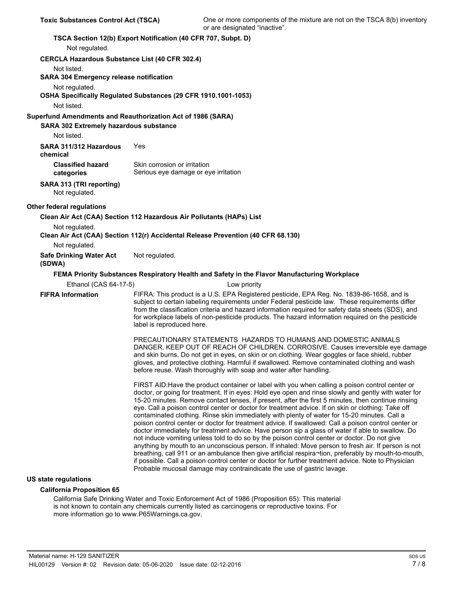| Not regulated.                                        | TSCA Section 12(b) Export Notification (40 CFR 707, Subpt. D)                                                                                                                                                                                                                                                                                                                                                                                                                                                                                                                                                                                                                                                                                                                                                                                                                                                                                                                                                                                                                                                                                                                                                                |
|-------------------------------------------------------|------------------------------------------------------------------------------------------------------------------------------------------------------------------------------------------------------------------------------------------------------------------------------------------------------------------------------------------------------------------------------------------------------------------------------------------------------------------------------------------------------------------------------------------------------------------------------------------------------------------------------------------------------------------------------------------------------------------------------------------------------------------------------------------------------------------------------------------------------------------------------------------------------------------------------------------------------------------------------------------------------------------------------------------------------------------------------------------------------------------------------------------------------------------------------------------------------------------------------|
| <b>CERCLA Hazardous Substance List (40 CFR 302.4)</b> |                                                                                                                                                                                                                                                                                                                                                                                                                                                                                                                                                                                                                                                                                                                                                                                                                                                                                                                                                                                                                                                                                                                                                                                                                              |
| Not listed.                                           |                                                                                                                                                                                                                                                                                                                                                                                                                                                                                                                                                                                                                                                                                                                                                                                                                                                                                                                                                                                                                                                                                                                                                                                                                              |
| <b>SARA 304 Emergency release notification</b>        |                                                                                                                                                                                                                                                                                                                                                                                                                                                                                                                                                                                                                                                                                                                                                                                                                                                                                                                                                                                                                                                                                                                                                                                                                              |
| Not regulated.                                        |                                                                                                                                                                                                                                                                                                                                                                                                                                                                                                                                                                                                                                                                                                                                                                                                                                                                                                                                                                                                                                                                                                                                                                                                                              |
|                                                       | OSHA Specifically Regulated Substances (29 CFR 1910.1001-1053)                                                                                                                                                                                                                                                                                                                                                                                                                                                                                                                                                                                                                                                                                                                                                                                                                                                                                                                                                                                                                                                                                                                                                               |
| Not listed.                                           |                                                                                                                                                                                                                                                                                                                                                                                                                                                                                                                                                                                                                                                                                                                                                                                                                                                                                                                                                                                                                                                                                                                                                                                                                              |
| SARA 302 Extremely hazardous substance                | Superfund Amendments and Reauthorization Act of 1986 (SARA)                                                                                                                                                                                                                                                                                                                                                                                                                                                                                                                                                                                                                                                                                                                                                                                                                                                                                                                                                                                                                                                                                                                                                                  |
| Not listed.                                           |                                                                                                                                                                                                                                                                                                                                                                                                                                                                                                                                                                                                                                                                                                                                                                                                                                                                                                                                                                                                                                                                                                                                                                                                                              |
| SARA 311/312 Hazardous<br>chemical                    | Yes                                                                                                                                                                                                                                                                                                                                                                                                                                                                                                                                                                                                                                                                                                                                                                                                                                                                                                                                                                                                                                                                                                                                                                                                                          |
| <b>Classified hazard</b><br>categories                | Skin corrosion or irritation<br>Serious eye damage or eye irritation                                                                                                                                                                                                                                                                                                                                                                                                                                                                                                                                                                                                                                                                                                                                                                                                                                                                                                                                                                                                                                                                                                                                                         |
| SARA 313 (TRI reporting)<br>Not regulated.            |                                                                                                                                                                                                                                                                                                                                                                                                                                                                                                                                                                                                                                                                                                                                                                                                                                                                                                                                                                                                                                                                                                                                                                                                                              |
| <b>Other federal regulations</b>                      |                                                                                                                                                                                                                                                                                                                                                                                                                                                                                                                                                                                                                                                                                                                                                                                                                                                                                                                                                                                                                                                                                                                                                                                                                              |
|                                                       | Clean Air Act (CAA) Section 112 Hazardous Air Pollutants (HAPs) List                                                                                                                                                                                                                                                                                                                                                                                                                                                                                                                                                                                                                                                                                                                                                                                                                                                                                                                                                                                                                                                                                                                                                         |
| Not regulated.                                        | Clean Air Act (CAA) Section 112(r) Accidental Release Prevention (40 CFR 68.130)                                                                                                                                                                                                                                                                                                                                                                                                                                                                                                                                                                                                                                                                                                                                                                                                                                                                                                                                                                                                                                                                                                                                             |
| Not regulated.                                        |                                                                                                                                                                                                                                                                                                                                                                                                                                                                                                                                                                                                                                                                                                                                                                                                                                                                                                                                                                                                                                                                                                                                                                                                                              |
| <b>Safe Drinking Water Act</b><br>(SDWA)              | Not regulated.                                                                                                                                                                                                                                                                                                                                                                                                                                                                                                                                                                                                                                                                                                                                                                                                                                                                                                                                                                                                                                                                                                                                                                                                               |
|                                                       | FEMA Priority Substances Respiratory Health and Safety in the Flavor Manufacturing Workplace                                                                                                                                                                                                                                                                                                                                                                                                                                                                                                                                                                                                                                                                                                                                                                                                                                                                                                                                                                                                                                                                                                                                 |
| Ethanol (CAS 64-17-5)                                 | Low priority                                                                                                                                                                                                                                                                                                                                                                                                                                                                                                                                                                                                                                                                                                                                                                                                                                                                                                                                                                                                                                                                                                                                                                                                                 |
| <b>FIFRA Information</b>                              | FIFRA: This product is a U.S. EPA Registered pesticide, EPA Reg. No. 1839-86-1658, and is<br>subject to certain labeling requirements under Federal pesticide law. These requirements differ<br>from the classification criteria and hazard information required for safety data sheets (SDS), and<br>for workplace labels of non-pesticide products. The hazard information required on the pesticide<br>label is reproduced here.                                                                                                                                                                                                                                                                                                                                                                                                                                                                                                                                                                                                                                                                                                                                                                                          |
|                                                       | PRECAUTIONARY STATEMENTS HAZARDS TO HUMANS AND DOMESTIC ANIMALS<br>DANGER. KEEP OUT OF REACH OF CHILDREN. CORROSIVE. Causes irreversible eye damage<br>and skin burns. Do not get in eyes, on skin or on clothing. Wear goggles or face shield, rubber<br>gloves, and protective clothing. Harmful if swallowed. Remove contaminated clothing and wash<br>before reuse. Wash thoroughly with soap and water after handling.                                                                                                                                                                                                                                                                                                                                                                                                                                                                                                                                                                                                                                                                                                                                                                                                  |
|                                                       | FIRST AID: Have the product container or label with you when calling a poison control center or<br>doctor, or going for treatment. If in eyes: Hold eye open and rinse slowly and gently with water for<br>15-20 minutes. Remove contact lenses, if present, after the first 5 minutes, then continue rinsing<br>eye. Call a poison control center or doctor for treatment advice. If on skin or clothing: Take off<br>contaminated clothing. Rinse skin immediately with plenty of water for 15-20 minutes. Call a<br>poison control center or doctor for treatment advice. If swallowed: Call a poison control center or<br>doctor immediately for treatment advice. Have person sip a glass of water if able to swallow. Do<br>not induce vomiting unless told to do so by the poison control center or doctor. Do not give<br>anything by mouth to an unconscious person. If inhaled: Move person to fresh air. If person is not<br>breathing, call 911 or an ambulance then give artificial respira¬tion, preferably by mouth-to-mouth,<br>if possible. Call a poison control center or doctor for further treatment advice. Note to Physician<br>Probable mucosal damage may contraindicate the use of gastric lavage. |
| <b>US state regulations</b>                           |                                                                                                                                                                                                                                                                                                                                                                                                                                                                                                                                                                                                                                                                                                                                                                                                                                                                                                                                                                                                                                                                                                                                                                                                                              |

#### **California Proposition 65**

California Safe Drinking Water and Toxic Enforcement Act of 1986 (Proposition 65): This material is not known to contain any chemicals currently listed as carcinogens or reproductive toxins. For more information go to www.P65Warnings.ca.gov.